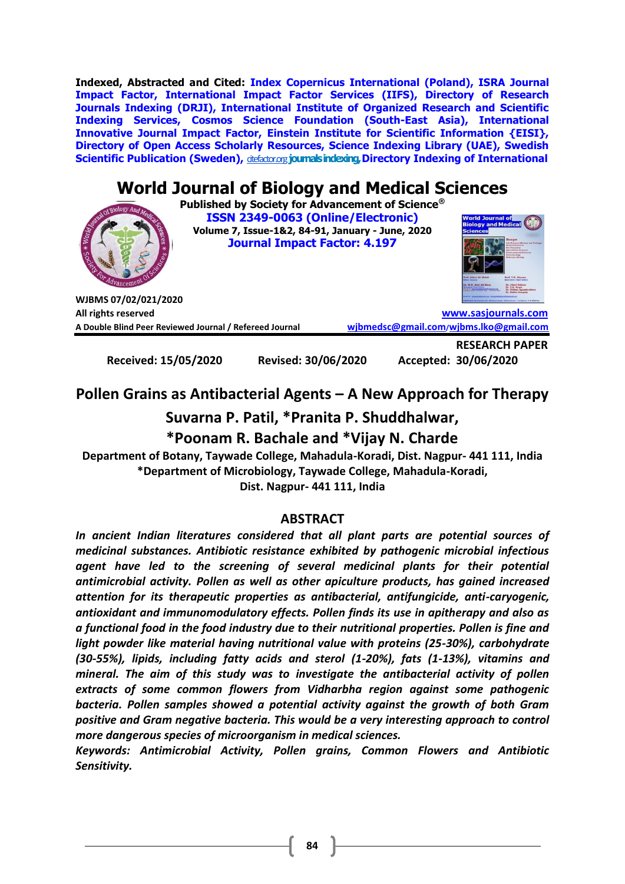**Indexed, Abstracted and Cited: Index Copernicus International (Poland), ISRA Journal Impact Factor, International Impact Factor Services (IIFS), Directory of Research Journals Indexing (DRJI), International Institute of Organized Research and Scientific Indexing Services, Cosmos Science Foundation (South-East Asia), International Innovative Journal Impact Factor, Einstein Institute for Scientific Information {EISI}, Directory of Open Access Scholarly Resources, Science Indexing Library (UAE), Swedish Scientific Publication (Sweden),** *[citefactor.org](http://citefactor.org/)* **journals indexing, Directory Indexing of International** 

# **World Journal of Biology and Medical Sciences**

**Published by Society for Advancement of Science® ISSN 2349-0063 (Online/Electronic) Volume 7, Issue-1&2, 84-91, January - June, 2020 Journal Impact Factor: 4.197**



**WJBMS 07/02/021/2020 All rights reserved [www.sasjournals.com](http://www.sasjournals.com/) A Double Blind Peer Reviewed Journal / Refereed Journal [wjbmedsc@gmail.com](mailto:wjbmedsc@gmail.com)/[wjbms.lko@gmail.com](mailto:wjbms.lko@gmail.com)**

**Received: 15/05/2020 Revised: 30/06/2020 Accepted: 30/06/2020**

**RESEARCH PAPER**

# **Pollen Grains as Antibacterial Agents – A New Approach for Therapy**

# **Suvarna P. Patil, \*Pranita P. Shuddhalwar,**

# **\*Poonam R. Bachale and \*Vijay N. Charde**

**Department of Botany, Taywade College, Mahadula-Koradi, Dist. Nagpur- 441 111, India \*Department of Microbiology, Taywade College, Mahadula-Koradi,** 

**Dist. Nagpur- 441 111, India**

## **ABSTRACT**

*In ancient Indian literatures considered that all plant parts are potential sources of medicinal substances. Antibiotic resistance exhibited by pathogenic microbial infectious agent have led to the screening of several medicinal plants for their potential antimicrobial activity. Pollen as well as other apiculture products, has gained increased attention for its therapeutic properties as antibacterial, antifungicide, anti-caryogenic, antioxidant and immunomodulatory effects. Pollen finds its use in apitherapy and also as a functional food in the food industry due to their nutritional properties. Pollen is fine and light powder like material having nutritional value with proteins (25-30%), carbohydrate (30-55%), lipids, including fatty acids and sterol (1-20%), fats (1-13%), vitamins and mineral. The aim of this study was to investigate the antibacterial activity of pollen extracts of some common flowers from Vidharbha region against some pathogenic bacteria. Pollen samples showed a potential activity against the growth of both Gram positive and Gram negative bacteria. This would be a very interesting approach to control more dangerous species of microorganism in medical sciences.* 

*Keywords: Antimicrobial Activity, Pollen grains, Common Flowers and Antibiotic Sensitivity.*

**84**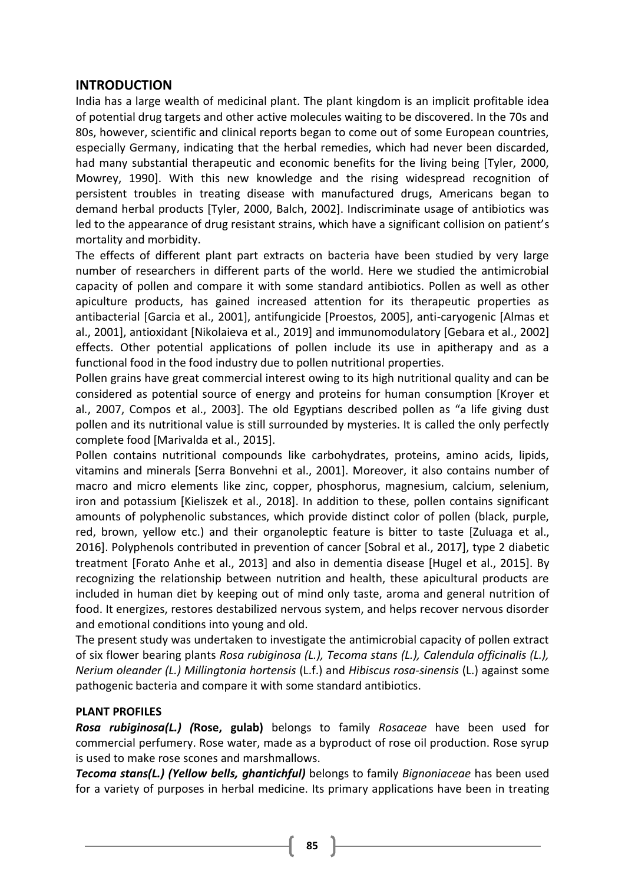#### **INTRODUCTION**

India has a large wealth of medicinal plant. The plant kingdom is an implicit profitable idea of potential drug targets and other active molecules waiting to be discovered. In the 70s and 80s, however, scientific and clinical reports began to come out of some European countries, especially Germany, indicating that the herbal remedies, which had never been discarded, had many substantial therapeutic and economic benefits for the living being [Tyler, 2000, Mowrey, 1990]. With this new knowledge and the rising widespread recognition of persistent troubles in treating disease with manufactured drugs, Americans began to demand herbal products [Tyler, 2000, Balch, 2002]. Indiscriminate usage of antibiotics was led to the appearance of drug resistant strains, which have a significant collision on patient's mortality and morbidity.

The effects of different plant part extracts on bacteria have been studied by very large number of researchers in different parts of the world. Here we studied the antimicrobial capacity of pollen and compare it with some standard antibiotics. Pollen as well as other apiculture products, has gained increased attention for its therapeutic properties as antibacterial [Garcia et al., 2001], antifungicide [Proestos, 2005], anti-caryogenic [Almas et al., 2001], antioxidant [Nikolaieva et al., 2019] and immunomodulatory [Gebara et al., 2002] effects. Other potential applications of pollen include its use in apitherapy and as a functional food in the food industry due to pollen nutritional properties.

Pollen grains have great commercial interest owing to its high nutritional quality and can be considered as potential source of energy and proteins for human consumption [Kroyer et al*.*, 2007, Compos et al., 2003]. The old Egyptians described pollen as "a life giving dust pollen and its nutritional value is still surrounded by mysteries. It is called the only perfectly complete food [Marivalda et al., 2015].

Pollen contains nutritional compounds like carbohydrates, proteins, amino acids, lipids, vitamins and minerals [Serra Bonvehni et al., 2001]. Moreover, it also contains number of macro and micro elements like zinc, copper, phosphorus, magnesium, calcium, selenium, iron and potassium [Kieliszek et al., 2018]. In addition to these, pollen contains significant amounts of polyphenolic substances, which provide distinct color of pollen (black, purple, red, brown, yellow etc.) and their organoleptic feature is bitter to taste [Zuluaga et al., 2016]. Polyphenols contributed in prevention of cancer [Sobral et al., 2017], type 2 diabetic treatment [Forato Anhe et al., 2013] and also in dementia disease [Hugel et al., 2015]. By recognizing the relationship between nutrition and health, these apicultural products are included in human diet by keeping out of mind only taste, aroma and general nutrition of food. It energizes, restores destabilized nervous system, and helps recover nervous disorder and emotional conditions into young and old.

The present study was undertaken to investigate the antimicrobial capacity of pollen extract of six flower bearing plants *Rosa rubiginosa (L.), Tecoma stans (L.), Calendula officinalis (L.), Nerium oleander (L.) Millingtonia hortensis* (L.f.) and *Hibiscus rosa-sinensis* (L.) against some pathogenic bacteria and compare it with some standard antibiotics.

#### **PLANT PROFILES**

*Rosa rubiginosa(L.) (***Rose, gulab)** belongs to family *Rosaceae* have been used for commercial perfumery. Rose water, made as a byproduct of rose oil production. Rose syrup is used to make rose scones and marshmallows.

*Tecoma stans(L.) (Yellow bells, ghantichful)* belongs to family *[Bignoniacea](http://plants.usda.gov/java/ClassificationServlet?source=profile&symbol=Bignoniaceae&display=63)e* has been used for a variety of purposes in herbal medicine. Its primary applications have been in treating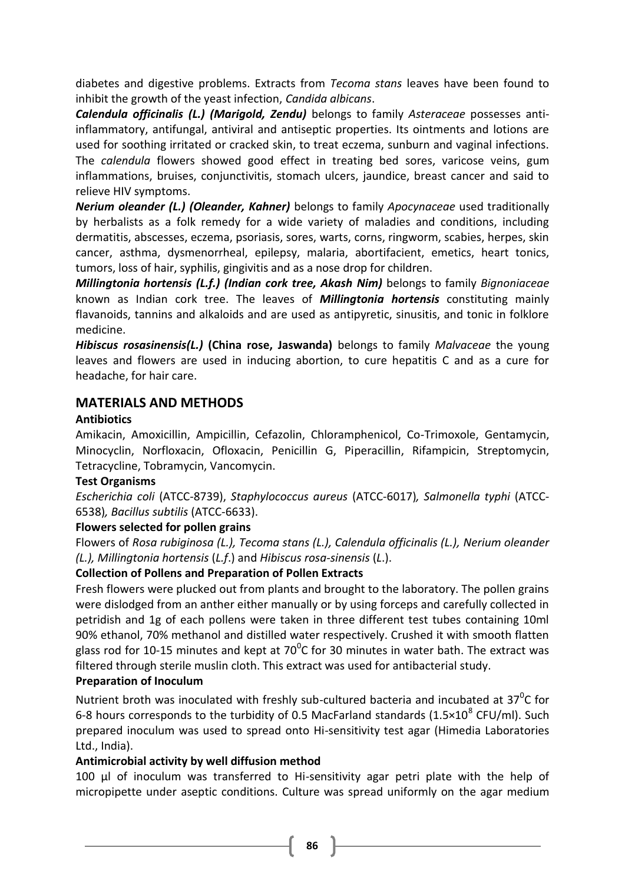diabetes and digestive problems. Extracts from *Tecoma stans* leaves have been found to inhibit the growth of the yeast infection, *Candida albicans*.

*Calendula officinalis (L.) (Marigold, Zendu)* belongs to family *Asteraceae* possesses antiinflammatory, antifungal, antiviral and antiseptic properties. Its ointments and lotions are used for soothing irritated or cracked skin, to treat eczema, sunburn and vaginal infections. The *calendula* flowers showed good effect in treating bed sores, varicose veins, gum inflammations, bruises, conjunctivitis, stomach ulcers, jaundice, breast cancer and said to relieve HIV symptoms.

*Nerium oleander (L.) (Oleander, Kahner)* belongs to family *Apocynaceae* used traditionally by herbalists as a folk remedy for a wide variety of maladies and conditions, including dermatitis, abscesses, eczema, psoriasis, sores, warts, corns, ringworm, scabies, herpes, skin cancer, asthma, dysmenorrheal, epilepsy, malaria, abortifacient, emetics, heart tonics, tumors, loss of hair, syphilis, gingivitis and as a nose drop for children.

*Millingtonia hortensis (L.f.) (Indian cork tree, Akash Nim)* belongs to family *Bignoniaceae* known as Indian cork tree. The leaves of *Millingtonia hortensis* constituting mainly flavanoids, tannins and alkaloids and are used as antipyretic, sinusitis, and tonic in folklore medicine.

*Hibiscus rosasinensis(L.)* **(China rose, Jaswanda)** belongs to family *Malvaceae* the young leaves and flowers are used in inducing abortion, to cure hepatitis C and as a cure for headache, for hair care.

## **MATERIALS AND METHODS**

#### **Antibiotics**

Amikacin, Amoxicillin, Ampicillin, Cefazolin, Chloramphenicol, Co-Trimoxole, Gentamycin, Minocyclin, Norfloxacin, Ofloxacin, Penicillin G, Piperacillin, Rifampicin, Streptomycin, Tetracycline, Tobramycin, Vancomycin.

#### **Test Organisms**

*Escherichia coli* (ATCC-8739), *Staphylococcus aureus* (ATCC-6017)*, Salmonella typhi* (ATCC-6538)*, Bacillus subtilis* (ATCC-6633).

#### **Flowers selected for pollen grains**

Flowers of *Rosa rubiginosa (L.), Tecoma stans (L.), Calendula officinalis (L.), Nerium oleander (L.), Millingtonia hortensis* (*L.f*.) and *Hibiscus rosa-sinensis* (*L*.).

#### **Collection of Pollens and Preparation of Pollen Extracts**

Fresh flowers were plucked out from plants and brought to the laboratory. The pollen grains were dislodged from an anther either manually or by using forceps and carefully collected in petridish and 1g of each pollens were taken in three different test tubes containing 10ml 90% ethanol, 70% methanol and distilled water respectively. Crushed it with smooth flatten glass rod for 10-15 minutes and kept at 70<sup>o</sup>C for 30 minutes in water bath. The extract was filtered through sterile muslin cloth. This extract was used for antibacterial study.

#### **Preparation of Inoculum**

Nutrient broth was inoculated with freshly sub-cultured bacteria and incubated at  $37^0C$  for 6-8 hours corresponds to the turbidity of 0.5 MacFarland standards (1.5×10<sup>8</sup> CFU/ml). Such prepared inoculum was used to spread onto Hi-sensitivity test agar (Himedia Laboratories Ltd., India).

#### **Antimicrobial activity by well diffusion method**

100 µl of inoculum was transferred to Hi-sensitivity agar petri plate with the help of micropipette under aseptic conditions. Culture was spread uniformly on the agar medium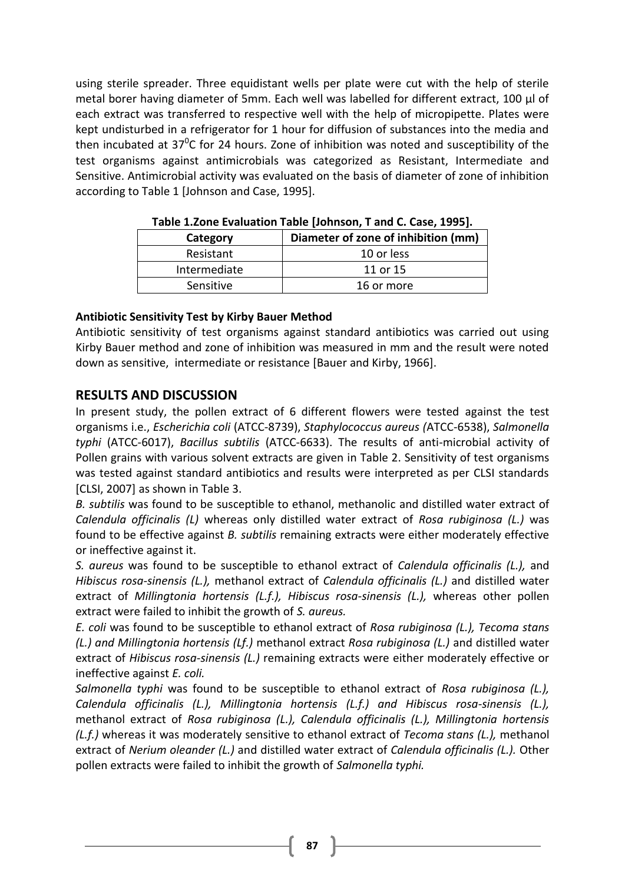using sterile spreader. Three equidistant wells per plate were cut with the help of sterile metal borer having diameter of 5mm. Each well was labelled for different extract, 100 µl of each extract was transferred to respective well with the help of micropipette. Plates were kept undisturbed in a refrigerator for 1 hour for diffusion of substances into the media and then incubated at 37 $\mathrm{^0C}$  for 24 hours. Zone of inhibition was noted and susceptibility of the test organisms against antimicrobials was categorized as Resistant, Intermediate and Sensitive. Antimicrobial activity was evaluated on the basis of diameter of zone of inhibition according to Table 1 [Johnson and Case, 1995].

| <b>TURIC INFORMATION CONTROLLING IN</b> THE CHARGE COOLS IN THE CHARGE IN THE CHARGE IS NOT THE CHARGE IN THE CHARGE I |                                     |  |  |  |  |  |
|------------------------------------------------------------------------------------------------------------------------|-------------------------------------|--|--|--|--|--|
| Category                                                                                                               | Diameter of zone of inhibition (mm) |  |  |  |  |  |
| Resistant                                                                                                              | 10 or less                          |  |  |  |  |  |
| Intermediate                                                                                                           | 11 or 15                            |  |  |  |  |  |
| Sensitive                                                                                                              | 16 or more                          |  |  |  |  |  |

**Table 1.Zone Evaluation Table [Johnson, T and C. Case, 1995].**

#### **Antibiotic Sensitivity Test by Kirby Bauer Method**

Antibiotic sensitivity of test organisms against standard antibiotics was carried out using Kirby Bauer method and zone of inhibition was measured in mm and the result were noted down as sensitive, intermediate or resistance [Bauer and Kirby, 1966].

## **RESULTS AND DISCUSSION**

In present study, the pollen extract of 6 different flowers were tested against the test organisms i.e., *Escherichia coli* (ATCC-8739), *Staphylococcus aureus (*ATCC-6538), *Salmonella typhi* (ATCC-6017), *Bacillus subtilis* (ATCC-6633). The results of anti-microbial activity of Pollen grains with various solvent extracts are given in Table 2. Sensitivity of test organisms was tested against standard antibiotics and results were interpreted as per CLSI standards [CLSI, 2007] as shown in Table 3.

*B. subtilis* was found to be susceptible to ethanol, methanolic and distilled water extract of *Calendula officinalis (L)* whereas only distilled water extract of *Rosa rubiginosa (L.)* was found to be effective against *B. subtilis* remaining extracts were either moderately effective or ineffective against it.

*S. aureus* was found to be susceptible to ethanol extract of *Calendula officinalis (L.),* and *Hibiscus rosa-sinensis (L.),* methanol extract of *Calendula officinalis (L.)* and distilled water extract of *Millingtonia hortensis (L.f.), Hibiscus rosa-sinensis (L.),* whereas other pollen extract were failed to inhibit the growth of *S. aureus.*

*E. coli* was found to be susceptible to ethanol extract of *Rosa rubiginosa (L.), Tecoma stans (L.) and Millingtonia hortensis (Lf.)* methanol extract *Rosa rubiginosa (L.)* and distilled water extract of *Hibiscus rosa-sinensis (L.)* remaining extracts were either moderately effective or ineffective against *E. coli.* 

*Salmonella typhi* was found to be susceptible to ethanol extract of *Rosa rubiginosa (L.), Calendula officinalis (L.), Millingtonia hortensis (L.f.) and Hibiscus rosa-sinensis (L.),*  methanol extract of *Rosa rubiginosa (L.), Calendula officinalis (L.), Millingtonia hortensis (L.f.)* whereas it was moderately sensitive to ethanol extract of *Tecoma stans (L.),* methanol extract of *Nerium oleander (L.)* and distilled water extract of *Calendula officinalis (L.).* Other pollen extracts were failed to inhibit the growth of *Salmonella typhi.*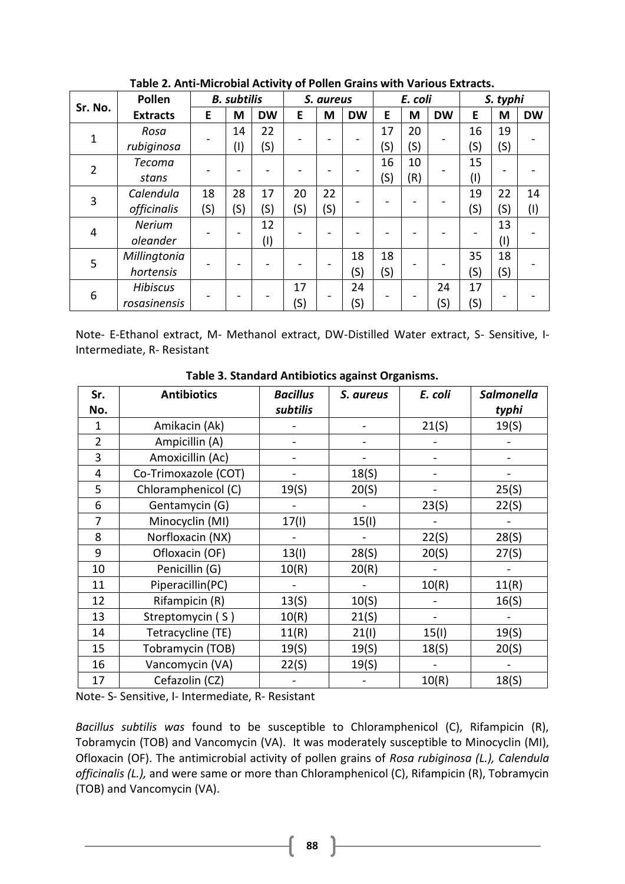|         | Pollen          | <b>B.</b> subtilis |                |           | S. aureus |     |           | E. coli |     |           | S. typhi |     |           |
|---------|-----------------|--------------------|----------------|-----------|-----------|-----|-----------|---------|-----|-----------|----------|-----|-----------|
| Sr. No. | <b>Extracts</b> | E                  | M              | <b>DW</b> | E         | M   | <b>DW</b> | E       | M   | <b>DW</b> | E        | M   | <b>DW</b> |
| 1       | Rosa            |                    | 14             | 22        |           |     |           | 17      | 20  |           | 16       | 19  |           |
|         | rubiginosa      |                    | $(\mathsf{I})$ | (S)       |           |     |           | (S)     | (S) |           | (S)      | (S) |           |
| 2       | <b>Tecoma</b>   |                    |                |           |           |     |           | 16      | 10  |           | 15       |     |           |
|         | stans           |                    |                |           |           |     |           | (S)     | (R) |           | $^{(1)}$ |     |           |
| 3       | Calendula       | 18<br>(S)          | 28             | 17        | 20        | 22  |           |         |     |           | 19       | 22  | 14        |
|         | officinalis     |                    | (S)            | (S)       | (S)       | (S) |           |         |     |           | (S)      | (S) | (I)       |
| 4       | <b>Nerium</b>   |                    |                | 12<br>(1) |           |     |           |         |     |           | 13       |     |           |
|         | oleander        |                    |                |           |           |     |           |         |     |           |          | (1) |           |
| 5       | Millingtonia    |                    |                |           |           |     | 18        | 18      |     |           | 35       | 18  |           |
|         | hortensis       |                    |                |           |           |     | (S)       | (S)     |     |           | (S)      | (S) |           |
| 6       | <b>Hibiscus</b> |                    |                |           | 17        |     | 24        | (S)     |     | 24        | 17       |     |           |
|         | rosasinensis    |                    |                |           | (S)       |     |           |         |     | (S)       | (S)      |     |           |

**Table 2. Anti-Microbial Activity of Pollen Grains with Various Extracts.**

Note- E-Ethanol extract, M- Methanol extract, DW-Distilled Water extract, S- Sensitive, I-Intermediate, R- Resistant

| Sr.            | <b>Antibiotics</b>   | <b>Bacillus</b> | S. aureus | E. coli | <b>Salmonella</b> |
|----------------|----------------------|-----------------|-----------|---------|-------------------|
| No.            |                      | subtilis        |           |         | typhi             |
| 1              | Amikacin (Ak)        |                 |           | 21(S)   | 19(5)             |
| $\overline{2}$ | Ampicillin (A)       |                 |           |         |                   |
| 3              | Amoxicillin (Ac)     |                 |           |         |                   |
| 4              | Co-Trimoxazole (COT) |                 | 18(5)     |         |                   |
| 5              | Chloramphenicol (C)  | 19(S)           | 20(S)     |         | 25(S)             |
| 6              | Gentamycin (G)       |                 |           | 23(S)   | 22(S)             |
| 7              | Minocyclin (MI)      | 17(1)           | 15(1)     |         |                   |
| 8              | Norfloxacin (NX)     |                 |           | 22(S)   | 28(S)             |
| 9              | Ofloxacin (OF)       | 13(1)           | 28(S)     | 20(S)   | 27(S)             |
| 10             | Penicillin (G)       | 10(R)           | 20(R)     |         |                   |
| 11             | Piperacillin(PC)     |                 |           | 10(R)   | 11(R)             |
| 12             | Rifampicin (R)       | 13(S)           | 10(S)     |         | 16(S)             |
| 13             | Streptomycin (S)     | 10(R)           | 21(S)     |         |                   |
| 14             | Tetracycline (TE)    | 11(R)           | 21(1)     | 15(1)   | 19(5)             |
| 15             | Tobramycin (TOB)     | 19(5)           | 19(5)     | 18(5)   | 20(S)             |
| 16             | Vancomycin (VA)      | 22(S)           | 19(5)     |         |                   |
| 17             | Cefazolin (CZ)       |                 |           | 10(R)   | 18(S)             |

**Table 3. Standard Antibiotics against Organisms.**

Note- S- Sensitive, I- Intermediate, R- Resistant

*Bacillus subtilis was* found to be susceptible to Chloramphenicol (C), Rifampicin (R), Tobramycin (TOB) and Vancomycin (VA). It was moderately susceptible to Minocyclin (MI), Ofloxacin (OF). The antimicrobial activity of pollen grains of *Rosa rubiginosa (L.), Calendula officinalis (L.),* and were same or more than Chloramphenicol (C), Rifampicin (R), Tobramycin (TOB) and Vancomycin (VA).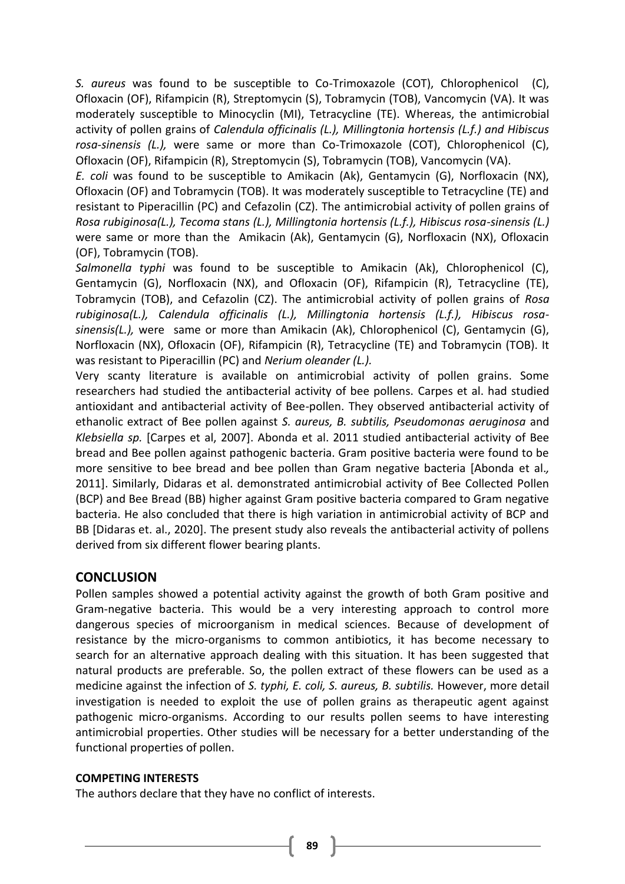*S. aureus* was found to be susceptible to Co-Trimoxazole (COT), Chlorophenicol (C), Ofloxacin (OF), Rifampicin (R), Streptomycin (S), Tobramycin (TOB), Vancomycin (VA). It was moderately susceptible to Minocyclin (MI), Tetracycline (TE). Whereas, the antimicrobial activity of pollen grains of *Calendula officinalis (L.), Millingtonia hortensis (L.f.) and Hibiscus rosa-sinensis (L.),* were same or more than Co-Trimoxazole (COT), Chlorophenicol (C), Ofloxacin (OF), Rifampicin (R), Streptomycin (S), Tobramycin (TOB), Vancomycin (VA).

*E. coli* was found to be susceptible to Amikacin (Ak), Gentamycin (G), Norfloxacin (NX), Ofloxacin (OF) and Tobramycin (TOB). It was moderately susceptible to Tetracycline (TE) and resistant to Piperacillin (PC) and Cefazolin (CZ). The antimicrobial activity of pollen grains of *Rosa rubiginosa(L.), Tecoma stans (L.), Millingtonia hortensis (L.f.), Hibiscus rosa-sinensis (L.)*  were same or more than the Amikacin (Ak), Gentamycin (G), Norfloxacin (NX), Ofloxacin (OF), Tobramycin (TOB).

*Salmonella typhi* was found to be susceptible to Amikacin (Ak), Chlorophenicol (C), Gentamycin (G), Norfloxacin (NX), and Ofloxacin (OF), Rifampicin (R), Tetracycline (TE), Tobramycin (TOB), and Cefazolin (CZ). The antimicrobial activity of pollen grains of *Rosa rubiginosa(L.), Calendula officinalis (L.), Millingtonia hortensis (L.f.), Hibiscus rosasinensis(L.),* were same or more than Amikacin (Ak), Chlorophenicol (C), Gentamycin (G), Norfloxacin (NX), Ofloxacin (OF), Rifampicin (R), Tetracycline (TE) and Tobramycin (TOB). It was resistant to Piperacillin (PC) and *Nerium oleander (L.).*

Very scanty literature is available on antimicrobial activity of pollen grains. Some researchers had studied the antibacterial activity of bee pollens. Carpes et al. had studied antioxidant and antibacterial activity of Bee-pollen. They observed antibacterial activity of ethanolic extract of Bee pollen against *S. aureus, B. subtilis, Pseudomonas aeruginosa* and *Klebsiella sp.* [Carpes et al, 2007]. Abonda et al. 2011 studied antibacterial activity of Bee bread and Bee pollen against pathogenic bacteria. Gram positive bacteria were found to be more sensitive to bee bread and bee pollen than Gram negative bacteria [Abonda et al.*,* 2011]. Similarly, Didaras et al. demonstrated antimicrobial activity of Bee Collected Pollen (BCP) and Bee Bread (BB) higher against Gram positive bacteria compared to Gram negative bacteria. He also concluded that there is high variation in antimicrobial activity of BCP and BB [Didaras et. al., 2020]. The present study also reveals the antibacterial activity of pollens derived from six different flower bearing plants.

## **CONCLUSION**

Pollen samples showed a potential activity against the growth of both Gram positive and Gram-negative bacteria. This would be a very interesting approach to control more dangerous species of microorganism in medical sciences. Because of development of resistance by the micro-organisms to common antibiotics, it has become necessary to search for an alternative approach dealing with this situation. It has been suggested that natural products are preferable. So, the pollen extract of these flowers can be used as a medicine against the infection of *S. typhi, E. coli, S. aureus, B. subtilis.* However, more detail investigation is needed to exploit the use of pollen grains as therapeutic agent against pathogenic micro-organisms. According to our results pollen seems to have interesting antimicrobial properties. Other studies will be necessary for a better understanding of the functional properties of pollen.

#### **COMPETING INTERESTS**

The authors declare that they have no conflict of interests.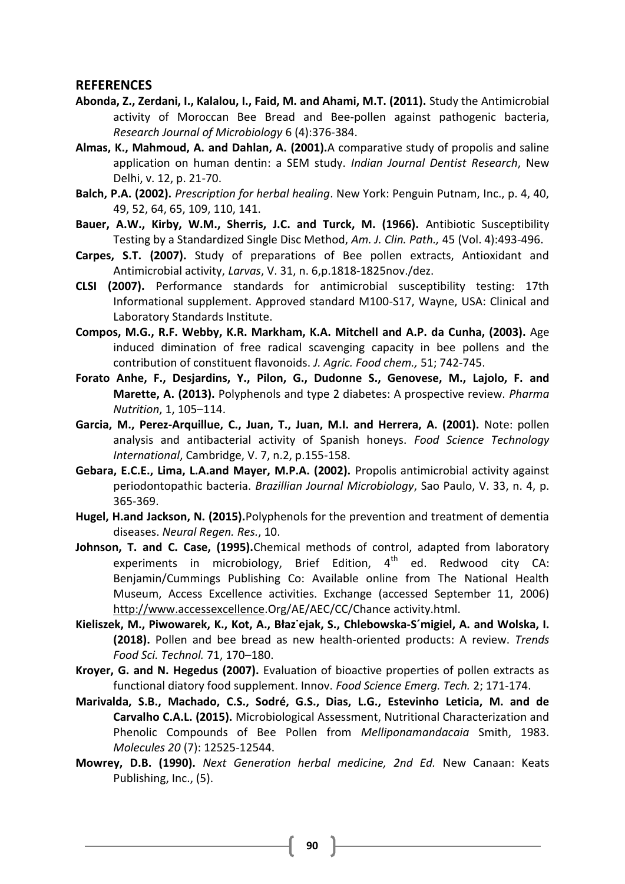#### **REFERENCES**

- **Abonda, Z., Zerdani, I., Kalalou, I., Faid, M. and Ahami, M.T. (2011).** Study the Antimicrobial activity of Moroccan Bee Bread and Bee-pollen against pathogenic bacteria, *Research Journal of Microbiology* 6 (4):376-384.
- **Almas, K., Mahmoud, A. and Dahlan, A. (2001).**A comparative study of propolis and saline application on human dentin: a SEM study. *Indian Journal Dentist Research*, New Delhi, v. 12, p. 21-70.
- **Balch, P.A. (2002).** *Prescription for herbal healing*. New York: Penguin Putnam, Inc., p. 4, 40, 49, 52, 64, 65, 109, 110, 141.
- **Bauer, A.W., Kirby, W.M., Sherris, J.C. and Turck, M. (1966).** Antibiotic Susceptibility Testing by a Standardized Single Disc Method, *Am. J. Clin. Path.,* 45 (Vol. 4):493-496.
- **Carpes, S.T. (2007).** Study of preparations of Bee pollen extracts, Antioxidant and Antimicrobial activity, *Larvas*, V. 31, n. 6,p.1818-1825nov./dez.
- **CLSI (2007).** Performance standards for antimicrobial susceptibility testing: 17th Informational supplement. Approved standard M100-S17, Wayne, USA: Clinical and Laboratory Standards Institute.
- **Compos, M.G., R.F. Webby, K.R. Markham, K.A. Mitchell and A.P. da Cunha, (2003).** Age induced dimination of free radical scavenging capacity in bee pollens and the contribution of constituent flavonoids. *J. Agric. Food chem.,* 51; 742-745.
- **Forato Anhe, F., Desjardins, Y., Pilon, G., Dudonne S., Genovese, M., Lajolo, F. and Marette, A. (2013).** Polyphenols and type 2 diabetes: A prospective review. *Pharma Nutrition*, 1, 105–114.
- **Garcia, M., Perez-Arquillue, C., Juan, T., Juan, M.I. and Herrera, A. (2001).** Note: pollen analysis and antibacterial activity of Spanish honeys. *Food Science Technology International*, Cambridge, V. 7, n.2, p.155-158.
- **Gebara, E.C.E., Lima, L.A.and Mayer, M.P.A. (2002).** Propolis antimicrobial activity against periodontopathic bacteria. *Brazillian Journal Microbiology*, Sao Paulo, V. 33, n. 4, p. 365-369.
- **Hugel, H.and Jackson, N. (2015).**Polyphenols for the prevention and treatment of dementia diseases. *Neural Regen. Res.*, 10.
- **Johnson, T. and C. Case, (1995).**Chemical methods of control, adapted from laboratory experiments in microbiology, Brief Edition,  $4<sup>th</sup>$  ed. Redwood city CA: Benjamin/Cummings Publishing Co: Available online from The National Health Museum, Access Excellence activities. Exchange (accessed September 11, 2006) [http://www.accessexcellence.](http://www.accessexcellence/)Org/AE/AEC/CC/Chance activity.html.
- **Kieliszek, M., Piwowarek, K., Kot, A., Błaz˙ejak, S., Chlebowska-S´migiel, A. and Wolska, I. (2018).** Pollen and bee bread as new health-oriented products: A review. *Trends Food Sci. Technol.* 71, 170–180.
- **Kroyer, G. and N. Hegedus (2007).** Evaluation of bioactive properties of pollen extracts as functional diatory food supplement. Innov. *Food Science Emerg. Tech.* 2; 171-174.
- **Marivalda, S.B., Machado, C.S., Sodré, G.S., Dias, L.G., Estevinho Leticia, M. and de Carvalho C.A.L. (2015).** Microbiological Assessment, Nutritional Characterization and Phenolic Compounds of Bee Pollen from *Melliponamandacaia* Smith, 1983. *Molecules 20* (7): 12525-12544.
- **Mowrey, D.B. (1990).** *Next Generation herbal medicine, 2nd Ed.* New Canaan: Keats Publishing, Inc., (5).